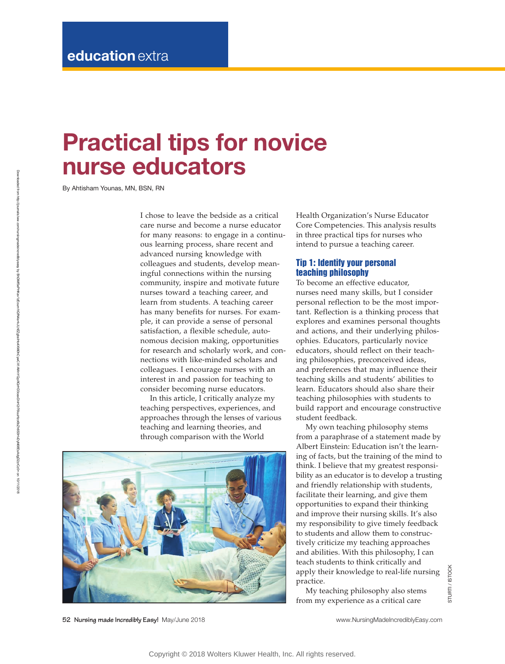# **Practical tips for novice nurse educators**

By Ahtisham Younas, MN, BSN, RN

I chose to leave the bedside as a critical care nurse and become a nurse educator for many reasons: to engage in a continuous learning process, share recent and advanced nursing knowledge with colleagues and students, develop meaningful connections within the nursing community, inspire and motivate future nurses toward a teaching career, and learn from students. A teaching career has many benefits for nurses. For example, it can provide a sense of personal satisfaction, a flexible schedule, autonomous decision making, opportunities for research and scholarly work, and connections with like-minded scholars and colleagues. I encourage nurses with an interest in and passion for teaching to consider becoming nurse educators.

In this article, I critically analyze my teaching perspectives, experiences, and approaches through the lenses of various teaching and learning theories, and through comparison with the World

**52 Nursing made Incredibly Easy!** May/June 2018 www.NursingMadeIncrediblyEasy.com

Health Organization's Nurse Educator Core Competencies. This analysis results in three practical tips for nurses who intend to pursue a teaching career.

## Tip 1: Identify your personal teaching philosophy

To become an effective educator, nurses need many skills, but I consider personal reflection to be the most important. Reflection is a thinking process that explores and examines personal thoughts and actions, and their underlying philosophies. Educators, particularly novice educators, should reflect on their teaching philosophies, preconceived ideas, and preferences that may influence their teaching skills and students' abilities to learn. Educators should also share their teaching philosophies with students to build rapport and encourage constructive student feedback.

My own teaching philosophy stems from a paraphrase of a statement made by Albert Einstein: Education isn't the learning of facts, but the training of the mind to think. I believe that my greatest responsibility as an educator is to develop a trusting and friendly relationship with students, facilitate their learning, and give them opportunities to expand their thinking and improve their nursing skills. It's also my responsibility to give timely feedback to students and allow them to constructively criticize my teaching approaches and abilities. With this philosophy, I can teach students to think critically and apply their knowledge to real-life nursing practice.

My teaching philosophy also stems from my experience as a critical care

STURTI / ISTOCK

STURTI / ISTOCI

Downloaded from

http://journals.lww.com/nursingmadeincrediblyeasy

Asea Aiguappuia peupus nu

হ

BhDMf5ePHKav1zEoum1tQfN4a+kJLhEZgbsIHo4XMi0hCywCX1AWnYQp/IlQrHD3oaxD/vH2r76IuuHzo6bZh6S3HvDyN68EsAdgD2zrCz0=

on 10/11/2018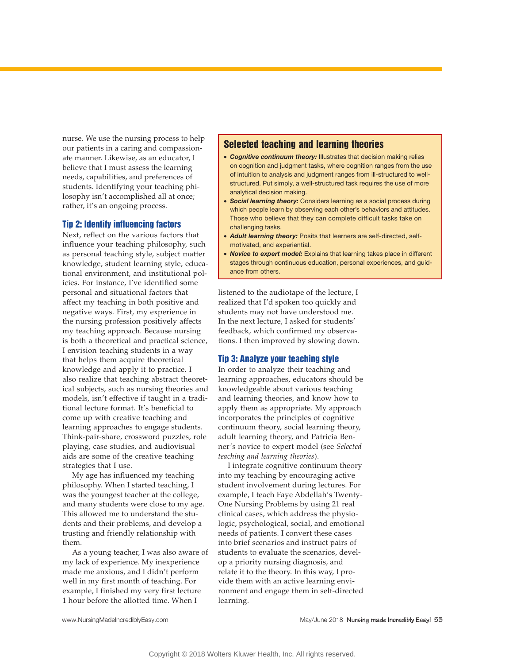nurse. We use the nursing process to help our patients in a caring and compassionate manner. Likewise, as an educator, I believe that I must assess the learning needs, capabilities, and preferences of students. Identifying your teaching philosophy isn't accomplished all at once; rather, it's an ongoing process.

#### Tip 2: Identify influencing factors

Next, reflect on the various factors that influence your teaching philosophy, such as personal teaching style, subject matter knowledge, student learning style, educational environment, and institutional policies. For instance, I've identified some personal and situational factors that affect my teaching in both positive and negative ways. First, my experience in the nursing profession positively affects my teaching approach. Because nursing is both a theoretical and practical science, I envision teaching students in a way that helps them acquire theoretical knowledge and apply it to practice. I also realize that teaching abstract theoretical subjects, such as nursing theories and models, isn't effective if taught in a traditional lecture format. It's beneficial to come up with creative teaching and learning approaches to engage students. Think-pair-share, crossword puzzles, role playing, case studies, and audiovisual aids are some of the creative teaching strategies that I use.

My age has influenced my teaching philosophy. When I started teaching, I was the youngest teacher at the college, and many students were close to my age. This allowed me to understand the students and their problems, and develop a trusting and friendly relationship with them.

As a young teacher, I was also aware of my lack of experience. My inexperience made me anxious, and I didn't perform well in my first month of teaching. For example, I finished my very first lecture 1 hour before the allotted time. When I

# Selected teaching and learning theories

- *Cognitive continuum theory:* Illustrates that decision making relies on cognition and judgment tasks, where cognition ranges from the use of intuition to analysis and judgment ranges from ill-structured to wellstructured. Put simply, a well-structured task requires the use of more analytical decision making.
- *Social learning theory:* Considers learning as a social process during which people learn by observing each other's behaviors and attitudes. Those who believe that they can complete difficult tasks take on challenging tasks.
- *Adult learning theory:* Posits that learners are self-directed, selfmotivated, and experiential.
- *Novice to expert model:* Explains that learning takes place in different stages through continuous education, personal experiences, and guidance from others.

listened to the audiotape of the lecture, I realized that I'd spoken too quickly and students may not have understood me. In the next lecture, I asked for students' feedback, which confirmed my observations. I then improved by slowing down.

### Tip 3: Analyze your teaching style

In order to analyze their teaching and learning approaches, educators should be knowledgeable about various teaching and learning theories, and know how to apply them as appropriate. My approach incorporates the principles of cognitive continuum theory, social learning theory, adult learning theory, and Patricia Benner's novice to expert model (see *Selected teaching and learning theories*).

I integrate cognitive continuum theory into my teaching by encouraging active student involvement during lectures. For example, I teach Faye Abdellah's Twenty-One Nursing Problems by using 21 real clinical cases, which address the physiologic, psychological, social, and emotional needs of patients. I convert these cases into brief scenarios and instruct pairs of students to evaluate the scenarios, develop a priority nursing diagnosis, and relate it to the theory. In this way, I provide them with an active learning environment and engage them in self-directed learning.